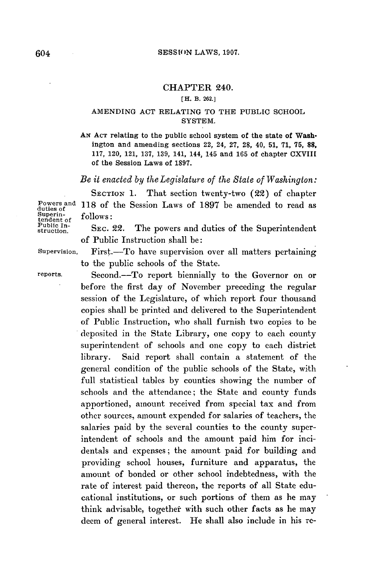### CHAPTER 240.

#### **[H. B. 262.]**

### **AMENDING ACT RELATING TO THE PUBLIC SCHOOL** SYSTEM.

**AN ACT relating to the public school system of the state of Wash**ington and amending sections 22, 24, **27, 28,** 40, **51, 71, 75, 88, 117,** 120, 121, **137, 139,** 141, 144, 145 and **165** of chapter CXVIII of the Session Laws of **1897.**

*Be it enacted by the Legislature of the State of Washington:*

SECTION **1.** That section twenty-two (22) of chapter Powers and **118** of the Session Laws of **1897** be amended to read as duties of

Superin-<br>
tendent of follows:<br>
Public In-<br>
struction. SEC. 22. The powers and duties of the Superintendent of Public Instruction shall be:

Supervision, First.-To have supervision over all matters pertaining to the public schools of the State.

reports. Second.-To report biennially to the Governor on or before the first day of November preceding the regular session of the Legislature, of which report four thousand copies shall be printed and delivered to the Superintendent of Public Instruction, who shall furnish two copies to be deposited in the State Library, one copy to each county superintendent of schools and one copy to each district library. Said report shall contain a statement of the general condition of the public schools of the State, with full statistical tables **by** counties showing the number of schools and the attendance; the State and county funds apportioned, amount received from special tax and from other sources, amount expended for salaries of teachers, the salaries paid **by** the several counties to the county superintendent of schools and the amount paid him for incidentals and expenses; the amount paid for building and providing school houses, furniture and apparatus, the amount of bonded or other school indebtedness, with the rate of interest paid thereon, the reports of all State educational institutions, or such portions of them as he may think advisable, together with such other facts as he may deem of general interest. He shall also include in his **re-**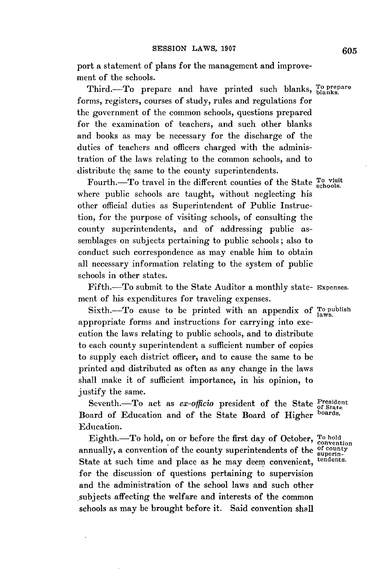port a statement of plans for the management and improvement of the schools.

Third.-To prepare and have printed such blanks, To prepare forms, registers, courses of study, rules and regulations for the government of the common schools, questions prepared for the examination of teachers, and such other blanks and books as may be necessary for the discharge of the duties of teachers and officers charged with the administration of the laws relating to the common schools, and to distribute the same to the county superintendents.

Fourth.-To travel in the different counties of the State  $T_0$  visit where public schools are taught, without neglecting his other official duties as Superintendent of Public Instruction, for the purpose of visiting schools, of consulting the county superintendents, and **of** addressing public assemblages on subjects pertaining to public schools; also to conduct such correspondence as may enable him to obtain all necessary information relating to the system of public schools in other states.

Fifth.-To submit to the State Auditor a monthly state- Expenses. ment of his expenditures for traveling expenses.

Sixth.-To cause to be printed with an appendix of To publish appropriate forms and instructions for carrying into execution the laws relating to public schools, and to distribute to each county superintendent a sufficient number of copies to supply each district officer, and to cause the same to be printed and distributed as often as any change in the laws shall make it of sufficient importance, in his opinion, to justify the same.

Seventh.-To act as *ex-officio* president of the State President Board of Education and of the State Board of Higher boards. Education.

Eighth. To hold, on or before the first day of October, To hold annually, a convention of the county superintendents of the **of** county State at such time and place as he may deem convenient, tendents. for the discussion of questions pertaining to supervision and the administration of the school laws and such other subjects affecting the welfare and interests of the common schools as may be brought before it. Said convention shall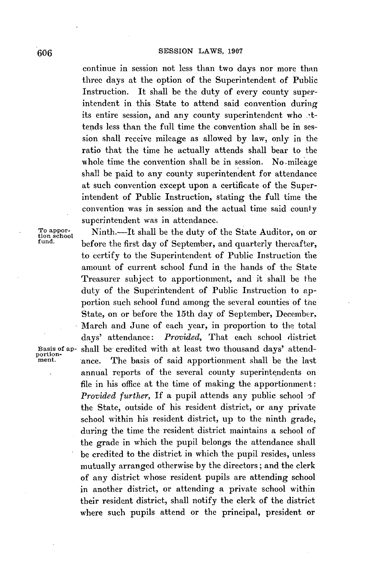continue in session not less than two days nor more than three days at the option of the Superintendent of Public Instruction. It shall be the duty of every county superintendent in this State to attend said convention during its entire session, and any county superintendent who attends less than the full time the convention shall be in session shall receive mileage as allowed **by** law, only in the ratio that the time he actually attends shall bear to the whole time the convention shall be in session. No mileage shall be paid to any county superintendent for attendance at such convention except upon a certificate of the Superintendent of Public Instruction, stating the full time the convention was in session and the actual time said county superintendent was in attendance.

To appor-<br>tion school<br>fund.<br>**In the fact day of Soptember, and questions the school** before the first day of September, and quarterly thereafter, to certify to the Superintendent of Public Instruction the amount of current school fund in the hands of the State Treasurer subject to apportionment, and it shall be the duty of the Superintendent of Public Instruction to apportion such school fund among the several counties of the State, on or before the 15th day of September, December. March and June of each year, in proportion to the total days' attendance: *Provided,* That each school district **Basis of ap-** shall be credited with at least two thousand days' attendment. **ance.** The basis of said apportionment shall be the last annual reports of the several county superintendents on file in his office at the time of making the apportionment: *Provided further,* If a pupil attends any public school **if** the State, outside of his resident district, or any private school within his resident district, up to the ninth grade, during the time the resident district maintains a school of the grade in which the pupil belongs the attendance shall be credited to the district in which the pupil resides, unless mutually arranged otherwise **by** the directors; and the clerk of any district whose resident pupils are attending school in another district, or attending a private school within their resident district, shall notify the clerk of the district where such pupils attend or the principal, president or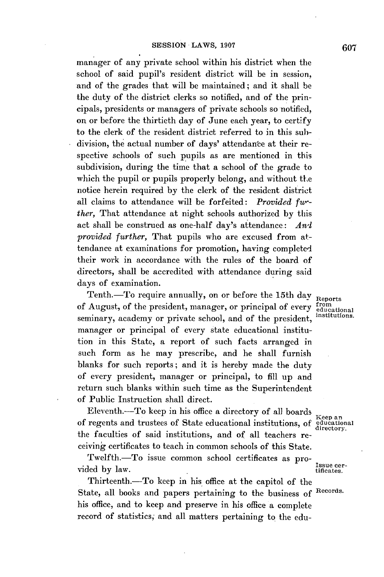manager of any private school within his district when the school of said pupil's resident district will be in session, and of the grades that will be maintained; and it shall be the duty of the district clerks so notified, and of the principals, presidents or managers of private schools so notified, on or before the thirtieth day of June each year, to certify to the clerk of the resident district referred to in this subdivision, the actual number of days' attendance at their respective schools of such pupils as are mentioned in this subdivision, during the time that a school of the grade to which the pupil or pupils properly belong, and without the notice herein required **by** the clerk of the resident district all claims to attendance will be forfeited: *Provided fwther,* That attendance at night schools authorized **by** this act shall be construed as one-half day's attendance: *Anl provided further,* That pupils who are excused from attendance at examinations for promotion, having completed their work in accordance with the rules of the board of directors, shall be accredited with attendance during said days of examination.

Tenth.—To require annually, on or before the 15th day  $R_{\text{eports}}$ <br>August, of the president, manager, or principal of every  $R_{\text{eucational}}$ of August, of the president, manager, or principal of every  $\frac{\text{from}}{\text{e}}$ <br>material of the set of the set of the set of the set of the set of the set of the set of the set of the set of the set of the set of the set of th seminary, academy or private school, and of the president, manager or principal of every state educational institution in this State, a report of such facts arranged in such form as he may prescribe, and he shall furnish blanks for such reports; and it is hereby made the duty of every president, manager or principal, to **fill** up and return such blanks within such time as the Superintendent of Public Instruction shall direct.

Eleventh.-To keep in his office a directory of all boards Keep an of regents and trustees of State educational institutions, **of** educational the faculties of said institutions, and of all teachers receiving certificates to teach in common schools of this State.

Twelfth. $-To$  issue common school certificates as pro-<br> $L_1$ ,  $L_2$ ,  $L_3$ ,  $L_4$ ,  $L_5$ vided by law. tificates.

Thirteenth.-To keep in his office at the capitol of the State, all books and papers pertaining to the business *of* Records. his office, and to keep and preserve in his office a complete record of statistics, and all matters pertaining to the edu-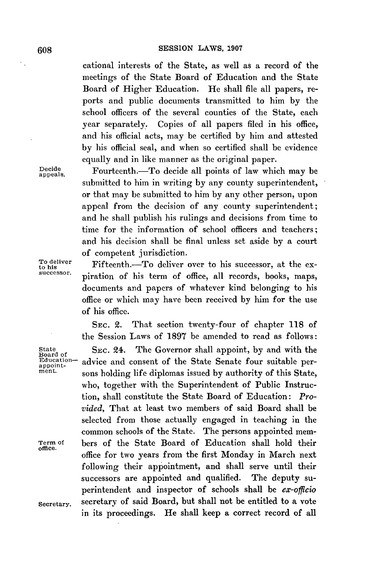cational interests of the State, as well as a record of the meetings of the State Board of Education and the State Board of Higher Education. He shall file all papers, reports and public documents transmitted to him **by** the school officers of the several counties of the State, each year separately. Copies of all papers filed in his office, and his official acts, may be certified **by** him and attested **by** his official seal, and when so certified shall be evidence equally and in like manner as the original paper.

submitted to him in writing **by** any county superintendent, or that may be submitted to him **by** any other person, upon appeal from the decision of any county superintendent; and he shall publish his rulings and decisions from time to time for the information of school officers and teachers; and his decision shall be final unless set aside **by** a court

Decide Fourteenth.-To decide all points of law which may be

of competent jurisdiction. To deliver Fifteenth.-To deliver over to his successor, at the expiration of his term of office, all records, books, maps, documents and papers of whatever kind belonging to his office or which may have been received **by** him for the use of his office.

> **SEC.** 2. That section twenty-four of chapter **118** of the Session Laws of **1897** be amended to read as follows:

State **SEC. 24.** The Governor shall appoint, by and with the Board of **Education**-<br>
Education- advice and consent of the State Senate four suitable per-Education-<br>
appoint-<br>
ment.  $\sum_{n=1}^{\infty}$  and  $\sum_{n=1}^{\infty}$  approximately by surfamily of this State sons holding life diplomas issued by authority of this State. who, together with the Superintendent of Public Instruction, shall constitute the State Board of Education: *Provided,* That at least two members of said Board shall be selected from those actually engaged in teaching in the common schools of the State. The persons appointed mem-Term of bers of the State Board of Education shall hold their office for two years from the first Monday in March next following their appointment, and shall serve until their successors are appointed and qualified. The deputy superintendent and inspector of schools shall be *ex-officio* secretary. secretary of said Board, but shall not be entitled to a vote in its proceedings. He shall keep a correct record of all

office.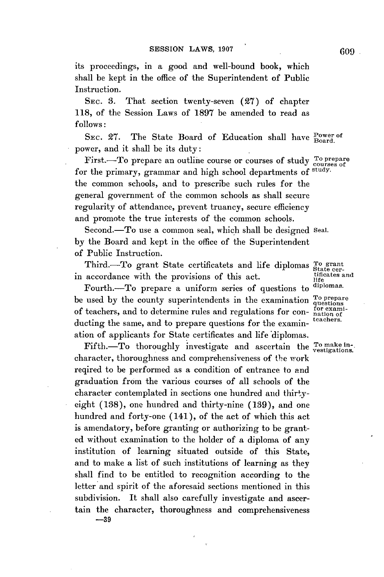its proceedings, in a good and well-bound book, which shall be kept in the office of the Superintendent of Public Instruction.

**SEc. 3.** That section twenty-seven **(27)** of chapter **118,** of the Session Laws of **1897** be amended to read as *follows:*

SEC. 27. The State Board of Education shall have Power of power, and it shall be its duty:

First.-To prepare an outline course or courses of study  $^{\text{To prepare}}_{\text{course of}}$ for the primary, grammar and high school departments of study. the common schools, and to prescribe such rules for the general government of the common schools as shall secure regularity of attendance, prevent truancy, secure efficiency and promote the true interests of the common schools.

Second.-To use a common seal, which shall be designed Seal. **by** the Board and kept in the office of the Superintendent of Public Instruction.

Third.-To grant State certificatets and life diplomas To grant<br>sccordance with the provisions of this act in accordance with the provisions of this act.<br>
Fourth To propers a uniform series of questions to diplomas.

Fourth.-To prepare a uniform series of questions to be used by the county superintendents in the examination <sup>To prepare</sup> of teachers, and to determine rules and regulations for con- $\frac{\text{for exam}}{\text{tachers}}$ ducting the same, and to prepare questions for the examination of applicants for State certificates and life diplomas.

Fifth.-To thoroughly investigate and ascertain the  $T_0$  make incharacter, thoroughness and comprehensiveness of the work reqired to be performed as a condition of entrance to and graduation from the various courses of all schools of the character contemplated in sections one hundred and thirtyeight **(138),** one hundred and thirty-nine **(139),** and one hundred and forty-one (141), of the act of which this act is amendatory, before granting or authorizing to be granted without examination to the holder of a diploma of any institution of learning situated outside of this State, and to make a list of such institutions of learning as they shall find to be entitled to recognition according to the letter and spirit of the aforesaid sections mentioned in this subdivision. It shall also carefully investigate and ascertain the character, thoroughness and comprehensiveness

**-39**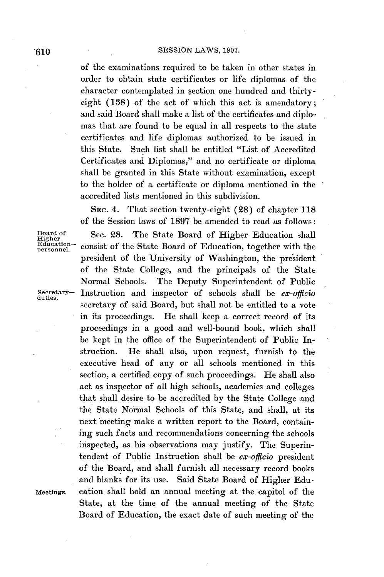of the examinations required to be taken in other states in order to obtain state certificates or life diplomas of the character contemplated in section one hundred and thirtyeight **(138)** of the act of which this act is amendatory; and said Board shall make a list of the certificates and diplomas that are found to be equal in all respects to the state certificates and life diplomas authorized to be issued in this State. Such list shall be entitled "List of Accredited Certificates and Diplomas," and no certificate or diploma shall be granted in this State without examination, except to the holder of a certificate or diploma mentioned in the accredited lists mentioned in this subdivision.

**SEC.** 4. That section twenty-eight **(28)** of chapter **118** of the Session laws of **1897** be amended to read as follows: Board of Sec. 28. The State Board of Higher Education shall<br>*Education*– consist of the State Board of Education, together with the  $Edducation-$  consist of the State Board of Education, together with the president of the University of Washington, the president of the State College, and the principals of the State Normal Schools. The Deputy Superintendent of Public secretary- Instruction and inspector of schools shall be *ex-officio* duties. secretary of said Board, but shall not be entitled to a vote in its proceedings. He shall keep a correct record of its proceedings in a good and well-bound book, which shall be kept in the office of the Superintendent of Public Instruction. He shall also, upon request, furnish to the executive head of any or all schools mentioned in this section, a certified copy of such proceedings. He shall also act as inspector of all high schools, academies and colleges that shall desire to be accredited **by** the State College and the State Normal Schools of this State, and shall, at its next meeting make a written report to the Board, containing such facts and recommendations concerning the schools inspected, as his observations may justify. The Superintendent of Public Instruction shall be *ex-officio* president of the Board, and shall furnish all necessary record books and blanks for its use. Said State Board of Higher Edu-Meetings. cation shall hold an annual meeting at the capitol of the State, at the time of the annual meeting of the State Board of Education, the exact date of such meeting of the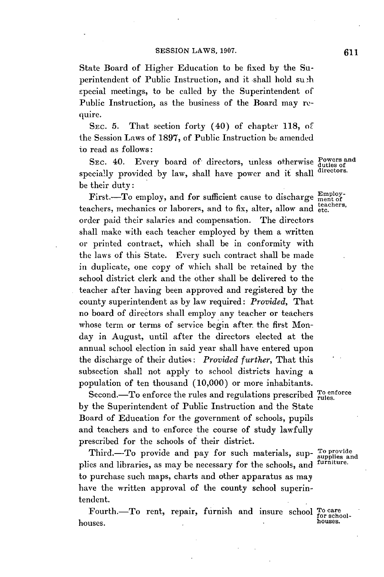State Board of Higher Education to be fixed **by** the Superintendent of Public Instruction, and it shall hold su h special meetings, to be called **by** the Superintendent of Public Instruction, as the business of the Board may require.

SEc. **5.** That section forty (40) of chapter **118,** of the Session Laws of **1897, of** Public Instruction be amended io read as follows:

SEC. 40. Every board of directors, unless otherwise Powers and specially provided **by** law, shall have power and it shall **directors.** be their duty:

First.-To employ, and for sufficient cause to discharge  $\frac{\text{Employ-}}{\text{ment of }}$ teachers, mechanics or laborers, and to fix, alter, allow and etc. order paid their salaries and compensation. The directors shall make with each teacher employed **by** them a written or printed contract, which shall be in conformity with the laws of this State. Every such contract shall be made in duplicate, one copy of which shall be retained **by** the school district clerk and the other shall be delivered to the teacher after having been approved and registered **by** the county superintendent as **by** law required: *Provided,* That no board of directors shall employ any teacher or teachers whose term or terms of service begin after the first Monday in August, until after the directors elected at the annual school election in said year shall have entered upon the discharge of their duties: *Provided further,* That this subsection shall not apply to school districts having a population of ten thousand **(10,000)** or more inhabitants.

Second.-To enforce the rules and regulations prescribed **To enforce rules. by** the Superintendent of Public Instruction and the State Board of Education for the government of schools, pupils and teachers and to enforce the course of study lawfully prescribed for the schools of their district.

Third.--To provide and pay for such materials, sup- To provide<br>ios and libraries, as may be pecessary for the schools, and <sup>furniture.</sup> plies and libraries, as may be necessary for the schools, and to purchase such maps, charts and other apparatus as may have the written approval of the county school superintendent.

Fourth.-To rent, repair, furnish and insure school <sup>To care</sup><br> **proprimed to the formal houses. .houses.**

*611*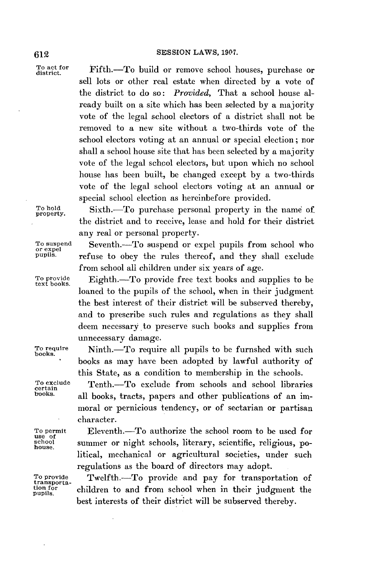To act for Fifth.-To build or remove school houses, purchase or sell lots or other real estate when directed **by** a vote of the district to do so: *Provided,* That a school house already built on a site which has been selected **by** a majority vote of the legal school electors of a district shall not be removed to a new site without a two-thirds vote of the school electors voting at an annual or special election; nor shall a school house site that has been selected **by** a majority vote of the legal school electors, but upon which no school house has been built, be changed except **by** a two-thirds vote of the legal school electors voting at an annual or special school election as hereinbefore provided.

To hold Sixth.-To purchase personal property in the name of the district and to receive, lease and hold for their district any real or personal property.

To suspend Seventh.-To suspend or expel pupils from school who or expel pupils, refuse to obey the rules thereof, and they shall exclude from school all children under six years of age.

To provide Fighth.-To provide free text books and supplies to be loaned to the pupils of the school, when in their judgment the best interest of their district will be subserved thereby, and to prescribe such rules and regulations as they shall deem necessary to preserve such books and supplies from unnecessary damage.

To require Ninth.-To require all pupils to be furnshed with such books. \* books as may have been adopted **by** lawful authority of this State, as a condition to membership in the schools.

To exclude Tenth.--To exclude from schools and school libraries certain  $\frac{1}{n}$  libraries certain  $\frac{1}{n}$  library that is considered as the problem in the school school in the school school is the school of  $\frac{1}{n}$  all books, tracts, papers and other publications of an immoral or pernicious tendency, or of sectarian or partisan character.

To permit Eleventh.—To authorize the school room to be used for<br>school summer or night schools literary scientific religious poschool summer or night schools, literary, scientific, religious, political, mechanical or agricultural societies, under such regulations as the board of directors may adopt.

To provide Twelfth.-To provide and pay for transportation of transportation for children to and from school when in their judgment the best interests of their district will be subserved thereby.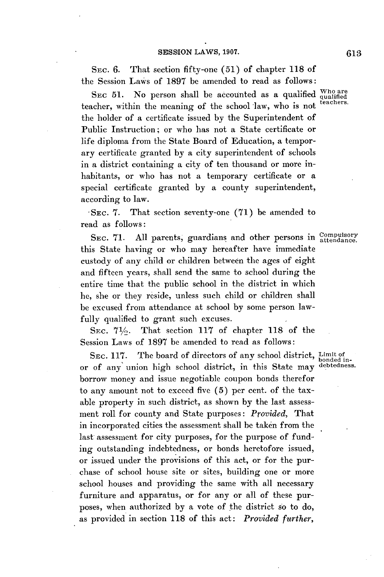SEc. **6.** That section fifty-one **(51)** of chapter **118** of the Session Laws of **1897** be amended to read as follows:

SEC 51. No person shall be accounted as a qualified who are teacher, within the meaning of the school law, who is not the holder of a certificate issued **by** the Superintendent of Public Instruction; or who has not a State certificate or life diploma from the State Board of Education, a temporary certificate granted **by** a city superintendent of schools in a district containing a city of ten thousand or more inhabitants, or who has not a temporary certificate or a special certificate granted **by** a county superintendent, according to law.

**-SEC. 7.** That section seventy-one **(71) be** amended to read as follows:

SEC. 71. All parents, guardians and other persons in Compulsory this State having or who may hereafter have immediate custody of any child or children between the ages of eight and fifteen years, shall send the same to school during the entire time that the public school in the district in which he, she or they reside, unless such child or children shall be excused from attendance at school **by** some person lawfully qualified to grant such excuses.

SEC.  $7\frac{1}{2}$ . That section 117 of chapter 118 of the Session Laws of **1897** be amended to read as follows:

SEC. 117. The board of directors of any school district, Limit of any union high school district in this State may debtedness. or of any union high school district, in this State may borrow money and issue negotiable coupon bonds therefor to any amount not to exceed five **(5)** per cent. of the taxable property in such district, as shown **by** the last assessment roll for county and State purposes: *Provided,* That in incorporated cities the assessment shall be taken from the last assessment for city purposes, for the purpose of funding outstanding indebtedness, or bonds heretofore issued, or issued under the provisions of this act, or for the purchase of school house site or sites, building one or more school houses and providing the same with all necessary furniture and apparatus, or for any or all of these purposes, when authorized **by** a vote of the district so to do, as provided in section **118** of this act: *Provided further,*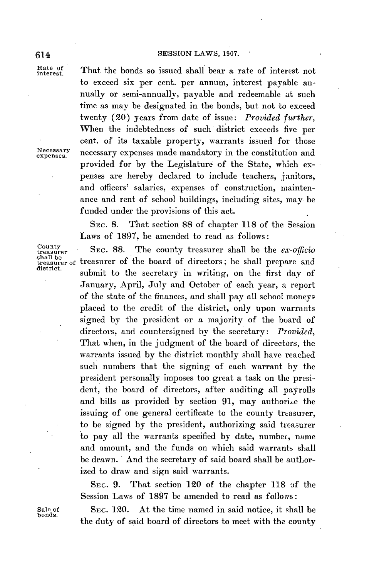# 614 **SESSION** LAWS, **1907.**

Rate of That the bonds so issued shall bear a rate of interest not to exceed six per cent. per annum, interest payable annually or semi-annually, payable and redeemable at such time as may be designated in the bonds, but not to exceed twenty (20) years from date of issue: *Provided further,* When the indebtedness of such district exceeds five per cent. of its taxable property, warrants issued for those Necessary necessary expenses made mandatory in the constitution and provided for **by** the Legislature of the State, which expenses are hereby declared to include teachers, janitors, and officers' salaries, expenses of construction, maintenance and rent of school buildings, including sites, may. be funded under the provisions of this act.

> SEC. **8.** That section **88** of chapter **118** of the Session Laws of **1897,** be amended to read as follows:

 $\begin{array}{ll}\n\text{Country} \\
\text{Stochastic} \\
\text{shall be} \\
\text{shall be} \\
\text{shall be} \\
\end{array}$  $\frac{\text{small be}}{\text{diameter of}}$  treasurer of the board of directors; he shall prepare and submit to the secretary in writing, on the first day of January, April, July and October of each year, a report of the state of the finances, and shall pay all school moneys placed to the credit of the district, only upon warrants signed **by** the president or a majority of the board of directors, and countersigned **by** the secretary: *Provided,* That when, in the judgment of the board of directors, the warrants issued **by** the district monthly shall have reached such numbers that the signing of each warrant **by** the president personally imposes too great a task on the president, the board of directors, after auditing all payrolls and bills as provided by section 91, may authorize the issuing of one general certificate to the county treasurer. to be signed **by** the president, authorizing said ticasurer to pay all the warrants specified **by** date, number, name and amount, and the funds on which said warrants shall be drawn. And the secretary of said board shall be authorized to draw and sign said warrants.

> **SEC. 9.** That section 120 of the chapter **118** of the Session Laws of **1897 be** amended to read as follows:

Sale of SEC. 120. At the time named in said notice, it shall be bonds. the duty of said board of directors to meet with the county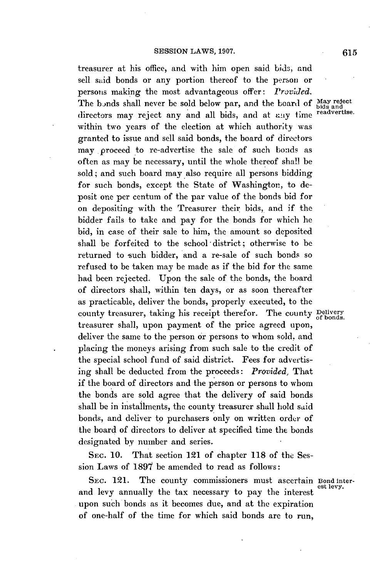treasurer at his office, and with him open said **bids,** and sell said bonds or any portion thereof to the person or persons making the most advantageous offer: *Provided.* The bonds shall never be sold below par, and the board of May reject directors may reject any and all bids, and at any time **readvertise.** within two years of the election at which authority was granted to issue and sell said bonds, the board of directors may proceed to re-advertise the sale of such bonds as often as may be necessary, until the whole thereof shall be sold; and such board may also require all persons bidding for such bonds, except the State of Washington, to deposit one per centum of the par value of the bonds bid for on depositing with the Treasurer their bids, and if the bidder fails to take and pay for the bonds for which he bid, in case of their sale to him, the amount so deposited shall be forfeited to the school district; otherwise to be returned to such bidder, and a re-sale of such **bonds** so refused to be taken may be made as if the bid for the same had been rejected. Upon the sale of the bonds, the board of directors shall, within ten days, or as soon thereafter as practicable, deliver the bonds, properly executed, to the county treasurer, taking his receipt therefor. The county Delivery treasurer shall, upon payment of the price agreed upon, deliver the same to the person or persons to whom sold, and placing the moneys arising from such sale to the credit of the special school fund of said district. Fees for advertising shall be deducted from the proceeds: *Provided,* That if the board of directors and the person or persons to whom the bonds are sold agree that the delivery of said bonds shall be in installments, the county treasurer shall hold said bonds, and deliver to purchasers only on written order of the board of directors to deliver at specified time the bonds designated **by** number and series.

SEc. **10.** That section 121 of chapter **118** of the Session Laws of **1897** be amended to read as follows:

SEC. 121. The county commissioners must ascertain Bond inter-<br>and levy annually the tax necessary to pay the interest est levy. upon such bonds as it becomes due, and at the expiration of one-half of the time for which said bonds are to run,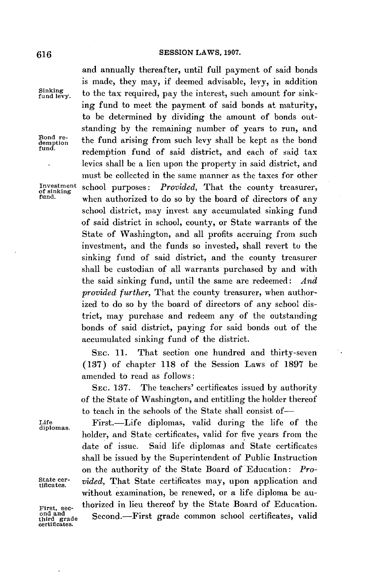# **SESSION** LAWS, **1907. 616**

and annually thereafter, until full payment of said bonds is made, they may, if deemed advisable, levy, in addition Sinking to the tax required, pay the interest, such amount for sinking fund to meet the payment of said bonds at maturity, to be determined **by** dividing the amount of bonds outstanding **by** the remaining number of years to run, and Bond re-<br>demption the fund arising from such levy shall be kept as the bond **fund.** redemption. fund of said district, and each **of** said tax levies shall be a lien upon the property in said district, and must be collected in the same manner as the taxes for other **Investment** school purposes: *Provided,* That the county treasurer, **of sinking fund.** when authorized to do so **by** the board of directors of any school district, may invest any accumulated sinking fund of said district in school, county, or State warrants of the State of Washington, and all profits accruing from such investment, and the funds so invested, shall revert to the sinking fund of said district, and the county treasurer shall be custodian of all warrants purchased **by** and with the said sinking fund, until the same are redeemed: *And provided further,* That the county treasurer, when authorized to do so **by** the board of directors of any school district, may purchase and redeem any of the outstanding bonds of said district, paying for said bonds out of the accumulated sinking fund of the district.

> **SEC. 11.** That section one hundred and thirty-seven **(137)** of chapter **118** of the Session Laws of **1897** be amended to read as **follows:**

 $\cdot$  .

**SEC. 137.** The teachers' certificates issued **by** authority of the State of Washington, and entitling the holder thereof to teach in the schools of the State shall consist of-

**Life** First.-Life diplomas, valid during the life of the holder, and State certificates, valid for five years from the date of issue. Said life diplomas and State certificates shall be issued **by** the Superintendent of Public Instruction on the authority of the State Board of Education: *Pro-*State cer- vided, That State certificates may, upon application and without examination, **be** renewed, or a life diploma be au-**First, sec-** thorized in lieu thereof **by** the State Board of Education. Second.-First grade common school certificates, valid

**diplomas.**

ond and third grade<br>certificates.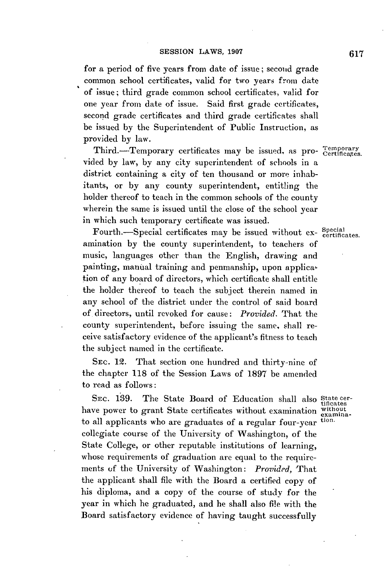for a period of five years from date of issue; second grade common school certificates, valid for two years from date of issue; third grade common school certificates, valid for one year from date of issue. Said first grade certificates, second grade certificates and third grade certificates shall be issued **by** the Superintendent of Public Instruction, as provided **by** law.

Third.-Temporary certificates may be issued, as pro- Temporary vided **by** law, **by** any city superintendent of schools in a district containing a city of ten thousand or more inhabitants, or **by** any county superintendent, entitling the holder thereof to teach in the common schools of the county wherein the same is issued until the close of the school year in which such temporary certificate was issued.

Fourth.-Special certificates may be issued without ex- Special certificates. amination **by** the county superintendent, to teachers of music, languages other than the English, drawing and painting, manual training and penmanship, upon application of any board of directors, which certificate shall entitle the holder thereof to teach the subject therein named in any school of the district under the control of said board of directors, until revoked for cause: *Provided.* That the county superintendent, before issuing the same, shall receive satisfactory evidence of the applicant's fitness to teach the subject named in the certificate.

**SEC.** 12. That section one hundred and thirty-nine of the chapter **118** of the Session Laws of **1897** be amended to read as follows:

SEC. 189. The State Board of Education shall also State cerhave power to grant State certificates without examination without to all applicants who are graduates of a regular four-year tion. collegiate course of the University of Washington, of the State College, or other reputable institutions of learning, whose requirements of graduation are equal to the requirements **of** the University of Washington: *Provided,* That the applicant shall file with the Board a certified copy of his diploma, and a copy of the course of study for the year in which he graduated, and he shall also file with the Board satisfactory evidence of having taught successfully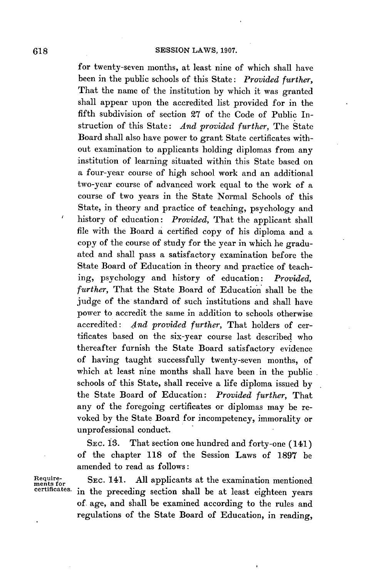for twenty-seven months, at least nine of which shall have been in the public schools of this State: *Provided further,* That the name of the institution **by** which it was granted shall appear upon the accredited list provided for in the fifth subdivision of section **27** of the Code of Public Instruction of this State: *And provided further,* The State Board shall also have power to grant State certificates without examination to applicants holding diplomas from any institution of learning situated within this State based on a four-year course of **high** school work and an additional two-year course of advanced work equal to the work of a course of two years in the State Normal Schools of this State, in theory and practice of teaching, psychology and history of education: *Provided,* That the applicant shall file with the Board a certified copy of his diploma and a copy of the course of study for the year in which he graduated and shall pass a satisfactory examination before the State Board of Education in theory and practice of teaching, psychology and history of education: *Provided, further,* That the State Board of Education shall be the judge of the standard of such institutions and shall have power to accredit the same in addition to schools otherwise accredited: *And provided further,* That holders of certificates based on the six-year course last described who thereafter furnish the State Board satisfactory evidence of having taught successfully twenty-seven months, of which at least nine months shall have been in the public. schools of this State, shall receive a life diploma issued **by** the State Board of Education: *Provided further,* That any of the foregoing certificates or diplomas may be revoked **by** the State Board for incompetency, immorality or unprofessional conduct.

**SEC. 13.** That section one hundred and forty-one (141) of the chapter **118** of the Session Laws of **1897** be amended to read as follows:

**Require-ments** 

SEC. 141. All applicants at the examination mentioned in the preceding section shall be at least eighteen years of. age, and shall be examined according to the rules and regulations of the State Board of Education, in reading,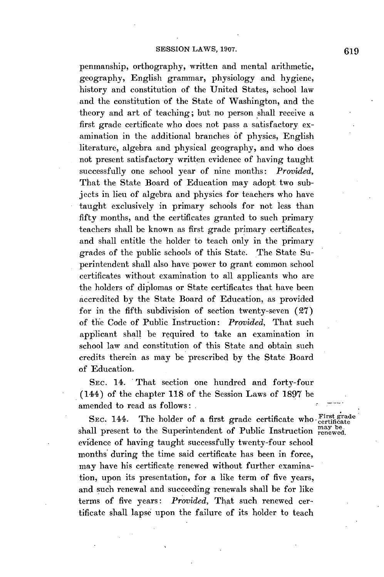#### **SESSION LAWS, 1907.**

penmanship, orthography, written and mental arithmetic, geography, English grammar, physiology and hygiene, history and constitution of the United States, school law and the constitution of the State of Washington, and the theory and art of teaching; but no person shall receive a first grade certificate who does not pass a satisfactory examination in the additional branches **of** physics, English literature, algebra and physical geography, and who does not present satisfactory written evidence of having taught successfully one school year of nine months: *Provided,* That the State Board of Education may adopt two subjects in lieu of algebra and physics for teachers who have taught exclusively in primary schools for not less than fifty months, and the certificates granted to such primary teachers shall be known as first grade primary certificates, and shall entitle the holder to teach only in the primary grades of the public schools of this State. The State Superintendent shall also have power to grant common school certificates without examination to all applicants who are the holders of diplomas or State certificates that have been accredited **by** the State Board of Education, as provided for in the fifth subdivision of section twenty-seven **(27)** of the Code of Public Instruction: *Provided,* That such applicant shall be required to take an examination in school law and constitution of this State and obtain such credits therein as may be prescribed **by** the State Board of Education.

**SEC.** 14. That section one hundred and forty-four (144) of the chapter **118** of the Session Laws of **1897** be amended to read as follows:

SEC. 144. The holder of a first grade certificate who First grade shall present to the Superintendent of Public Instruction renewed. evidence of having taught successfully twenty-four school months during the time said certificate has been in force, may have his certificate renewed without further examination, upon its presentation, for a like term of five years, and such renewal and succeeding renewals shall be for like terms of five years: *Provided,* That such renewed certificate shall lapse upon the failure of its holder to teach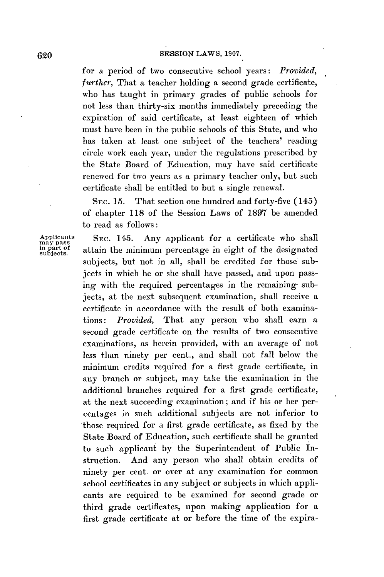for a period of two consecutive school years: *Provided,* further, That a teacher holding a second grade certificate, who has taught in primary grades of public schools for not less than thirty-six months immediately preceding the expiration of said certificate, at least eighteen of which must have been in the public schools of this State, and who has taken at least one subject of the teachers' reading circle work each year, under the regulations prescribed **by** the State Board of Education, may have said certificate renewed for two years as a primary teacher only, but such certificate shall be entitled to but a single renewal.

**SEC. 15.** That section one hundred and forty-five (145) of chapter **118** of the Session Laws of **1897** be amended to read as follows:

may pass<br>in part of<br>subjects.

Applicants **SEC. 145.** Any applicant for a certificate who shall attain the minimum percentage in eight of the designated subjects, but not in all, shall be credited for those subjects in which he or she shall have passed, and upon passing with the required percentages in the remaining subjects, at the next subsequent examination, shall receive a certificate in accordance with the result of both examinations: *Provided,* That any person who shall earn a second grade certificate on the results of two consecutive examinations, as herein provided, with an average of not less than ninety per cent., and shall not fall below the minimum credits required for a first grade certificate, in any branch or subject, may take the examination in the additional branches required for a first grade certificate, at the next succeeding examination; and if his or her percentages in such additional subjects are not inferior to those required for a first grade certificate, as fixed **by** the State Board of Education, such certificate shall be granted to such applicant **by** the Superintendent of Public Instruction. And any person who shall obtain credits of ninety per cent. or over at any examination for common school certificates in any subject or subjects in which applicants are required to be examined for second grade or third grade certificates, upon making application for a first grade certificate at or before the time of the expira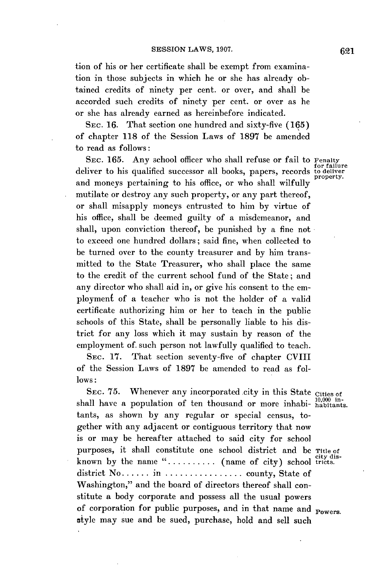tion of his or her certificate shall be exempt from examination in those subjects in which he or she has already obtained credits of ninety per cent. or over, and shall be accorded such credits of ninety per cent. or over as he or she has already earned as hereinbefore indicated.

**SEc. 16.** That section one hundred and sixty-five **(165)** of chapter **118** of the Session Laws of **1897** be amended to read as follows:

SEC. 165. Any school officer who shall refuse or fail to Penalty<br>deliver to his qualified successor all books, papers, records to deliver and moneys pertaining to his office, or who shall wilfully mutilate or destroy any such property, or any part thereof, or shall misapply moneys entrusted to him **by** virtue of his office, shall be deemed guilty of a misdemeanor, and shall, upon conviction thereof, be punished **by** a fine not to exceed one hundred dollars; said fine, when collected to be turned over to the county treasurer and **by** him transmitted to the State Treasurer, who shall place the same to the credit of the current school fund of the State; and any director who shall aid in, or give his consent to the employment of a teacher who is not the holder of a valid certificate authorizing him or her to teach in the public schools of this State, shall be personally liable to his district for any loss which it may sustain **by** reason of the employment of. such person not lawfully qualified to teach.

**SEC. 17.** That section seventy-five of chapter CVIII of the Session Laws of **1897** be amended to read as fol**lows:**

SEC. 75. Whenever any incorporated city in this State Cities of shall have a population of ten thousand or more inhabi-  $\frac{10,000}{10,000}$  intants, as shown **by** any regular or special census, together with any adjacent or contiguous territory that now is or may be hereafter attached to said city for school purposes, it shall constitute one school district and **be** Title of known by the name ".......... (name of city) school tricts. district No **......** in **................** county, State of Washington," and the board of directors thereof shall constitute a body corporate and possess all the usual powers of corporation for public purposes, and in that name and  $_{\text{Powers}}$ . style may sue and be sued, purchase, hold and sell such